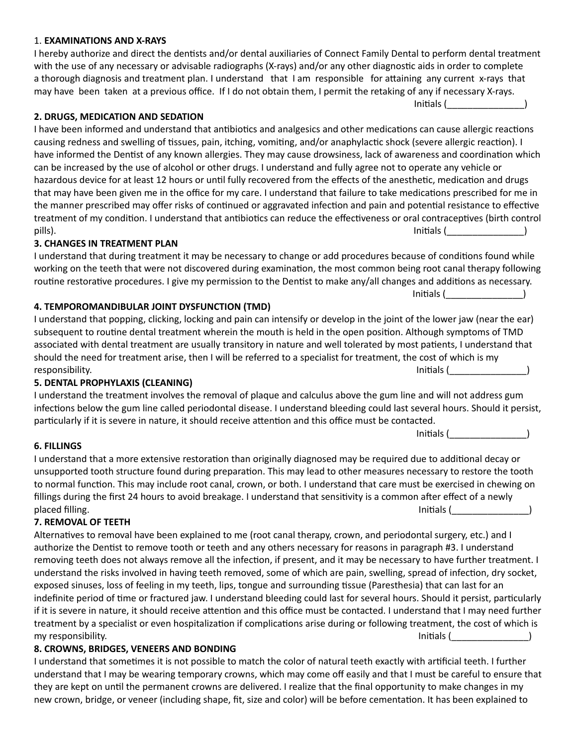### 1. **EXAMINATIONS AND X-RAYS**

I hereby authorize and direct the dentists and/or dental auxiliaries of Connect Family Dental to perform dental treatment with the use of any necessary or advisable radiographs (X-rays) and/or any other diagnostic aids in order to complete a thorough diagnosis and treatment plan. I understand that I am responsible for attaining any current x-rays that may have been taken at a previous office. If I do not obtain them, I permit the retaking of any if necessary X-rays.

Initials (\_\_\_\_\_\_\_\_\_\_\_\_\_\_\_)

## **2. DRUGS, MEDICATION AND SEDATION**

I have been informed and understand that antibiotics and analgesics and other medications can cause allergic reactions causing redness and swelling of tissues, pain, itching, vomiting, and/or anaphylactic shock (severe allergic reaction). I have informed the Dentist of any known allergies. They may cause drowsiness, lack of awareness and coordination which can be increased by the use of alcohol or other drugs. I understand and fully agree not to operate any vehicle or hazardous device for at least 12 hours or until fully recovered from the effects of the anesthetic, medication and drugs that may have been given me in the office for my care. I understand that failure to take medications prescribed for me in the manner prescribed may offer risks of continued or aggravated infection and pain and potential resistance to effective treatment of my condition. I understand that antibiotics can reduce the effectiveness or oral contraceptives (birth control pills). Initials (\_\_\_\_\_\_\_\_\_\_\_\_\_\_\_)

### **3. CHANGES IN TREATMENT PLAN**

I understand that during treatment it may be necessary to change or add procedures because of conditions found while working on the teeth that were not discovered during examination, the most common being root canal therapy following routine restorative procedures. I give my permission to the Dentist to make any/all changes and additions as necessary.

#### **4. TEMPOROMANDIBULAR JOINT DYSFUNCTION (TMD)**

I understand that popping, clicking, locking and pain can intensify or develop in the joint of the lower jaw (near the ear) subsequent to routine dental treatment wherein the mouth is held in the open position. Although symptoms of TMD associated with dental treatment are usually transitory in nature and well tolerated by most patients, I understand that should the need for treatment arise, then I will be referred to a specialist for treatment, the cost of which is my responsibility. The contract of the contract of the contract of the contract of the contract of the contract of the contract of the contract of the contract of the contract of the contract of the contract of the contract o

#### **5. DENTAL PROPHYLAXIS (CLEANING)**

I understand the treatment involves the removal of plaque and calculus above the gum line and will not address gum infections below the gum line called periodontal disease. I understand bleeding could last several hours. Should it persist, particularly if it is severe in nature, it should receive attention and this office must be contacted.

Initials (\_\_\_\_\_\_\_\_\_\_\_\_\_\_\_)

Initials (\_\_\_\_\_\_\_\_\_\_\_\_\_\_\_)

#### **6. FILLINGS**

I understand that a more extensive restoration than originally diagnosed may be required due to additional decay or unsupported tooth structure found during preparation. This may lead to other measures necessary to restore the tooth to normal function. This may include root canal, crown, or both. I understand that care must be exercised in chewing on fillings during the first 24 hours to avoid breakage. I understand that sensitivity is a common after effect of a newly placed filling. The set of the set of the set of the set of the set of the set of the set of the set of the set of the set of the set of the set of the set of the set of the set of the set of the set of the set of the set

## **7. REMOVAL OF TEETH**

Alternatives to removal have been explained to me (root canal therapy, crown, and periodontal surgery, etc.) and I authorize the Dentist to remove tooth or teeth and any others necessary for reasons in paragraph #3. I understand removing teeth does not always remove all the infection, if present, and it may be necessary to have further treatment. I understand the risks involved in having teeth removed, some of which are pain, swelling, spread of infection, dry socket, exposed sinuses, loss of feeling in my teeth, lips, tongue and surrounding tissue (Paresthesia) that can last for an indefinite period of time or fractured jaw. I understand bleeding could last for several hours. Should it persist, particularly if it is severe in nature, it should receive attention and this office must be contacted. I understand that I may need further treatment by a specialist or even hospitalization if complications arise during or following treatment, the cost of which is my responsibility. The subset of the set of the set of the set of the set of the set of the set of the set of t

#### **8. CROWNS, BRIDGES, VENEERS AND BONDING**

I understand that sometimes it is not possible to match the color of natural teeth exactly with artificial teeth. I further understand that I may be wearing temporary crowns, which may come off easily and that I must be careful to ensure that they are kept on until the permanent crowns are delivered. I realize that the final opportunity to make changes in my new crown, bridge, or veneer (including shape, fit, size and color) will be before cementation. It has been explained to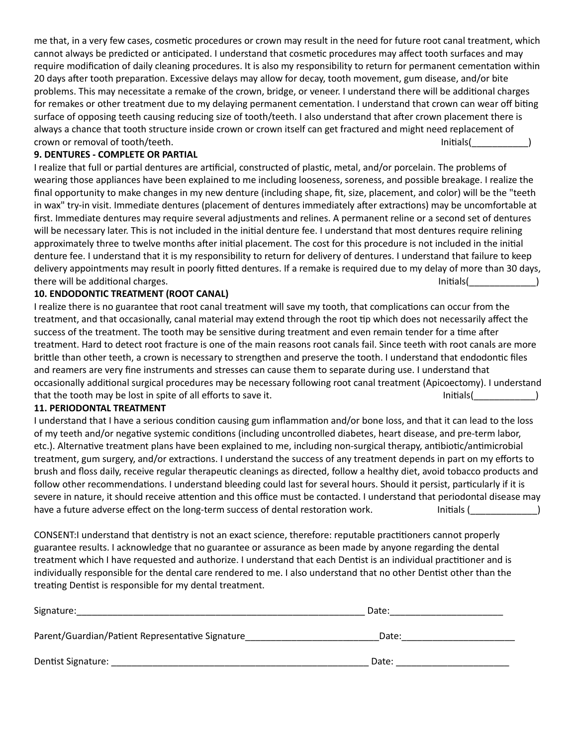me that, in a very few cases, cosmetic procedures or crown may result in the need for future root canal treatment, which cannot always be predicted or anticipated. I understand that cosmetic procedures may affect tooth surfaces and may require modification of daily cleaning procedures. It is also my responsibility to return for permanent cementation within 20 days after tooth preparation. Excessive delays may allow for decay, tooth movement, gum disease, and/or bite problems. This may necessitate a remake of the crown, bridge, or veneer. I understand there will be additional charges for remakes or other treatment due to my delaying permanent cementation. I understand that crown can wear off biting surface of opposing teeth causing reducing size of tooth/teeth. I also understand that after crown placement there is always a chance that tooth structure inside crown or crown itself can get fractured and might need replacement of crown or removal of tooth/teeth. Initials(

# **9. DENTURES - COMPLETE OR PARTIAL**

I realize that full or partial dentures are artificial, constructed of plastic, metal, and/or porcelain. The problems of wearing those appliances have been explained to me including looseness, soreness, and possible breakage. I realize the final opportunity to make changes in my new denture (including shape, fit, size, placement, and color) will be the "teeth in wax" try-in visit. Immediate dentures (placement of dentures immediately after extractions) may be uncomfortable at first. Immediate dentures may require several adjustments and relines. A permanent reline or a second set of dentures will be necessary later. This is not included in the initial denture fee. I understand that most dentures require relining approximately three to twelve months after initial placement. The cost for this procedure is not included in the initial denture fee. I understand that it is my responsibility to return for delivery of dentures. I understand that failure to keep delivery appointments may result in poorly fitted dentures. If a remake is required due to my delay of more than 30 days, there will be additional charges. The second state of the second state of the second state of the second state o

# **10. ENDODONTIC TREATMENT (ROOT CANAL)**

I realize there is no guarantee that root canal treatment will save my tooth, that complications can occur from the treatment, and that occasionally, canal material may extend through the root tip which does not necessarily affect the success of the treatment. The tooth may be sensitive during treatment and even remain tender for a time after treatment. Hard to detect root fracture is one of the main reasons root canals fail. Since teeth with root canals are more brittle than other teeth, a crown is necessary to strengthen and preserve the tooth. I understand that endodontic files and reamers are very fine instruments and stresses can cause them to separate during use. I understand that occasionally additional surgical procedures may be necessary following root canal treatment (Apicoectomy). I understand that the tooth may be lost in spite of all efforts to save it. The initials of the state of the state of the s

## **11. PERIODONTAL TREATMENT**

I understand that I have a serious condition causing gum inflammation and/or bone loss, and that it can lead to the loss of my teeth and/or negative systemic conditions (including uncontrolled diabetes, heart disease, and pre-term labor, etc.). Alternative treatment plans have been explained to me, including non-surgical therapy, antibiotic/antimicrobial treatment, gum surgery, and/or extractions. I understand the success of any treatment depends in part on my efforts to brush and floss daily, receive regular therapeutic cleanings as directed, follow a healthy diet, avoid tobacco products and follow other recommendations. I understand bleeding could last for several hours. Should it persist, particularly if it is severe in nature, it should receive attention and this office must be contacted. I understand that periodontal disease may have a future adverse effect on the long-term success of dental restoration work. Initials ( and initials (  $\qquad \qquad$  )

CONSENT:I understand that dentistry is not an exact science, therefore: reputable practitioners cannot properly guarantee results. I acknowledge that no guarantee or assurance as been made by anyone regarding the dental treatment which I have requested and authorize. I understand that each Dentist is an individual practitioner and is individually responsible for the dental care rendered to me. I also understand that no other Dentist other than the treating Dentist is responsible for my dental treatment.

| Signature:                                       | Date: |  |
|--------------------------------------------------|-------|--|
| Parent/Guardian/Patient Representative Signature | Date: |  |
| Dentist Signature:                               | Date: |  |